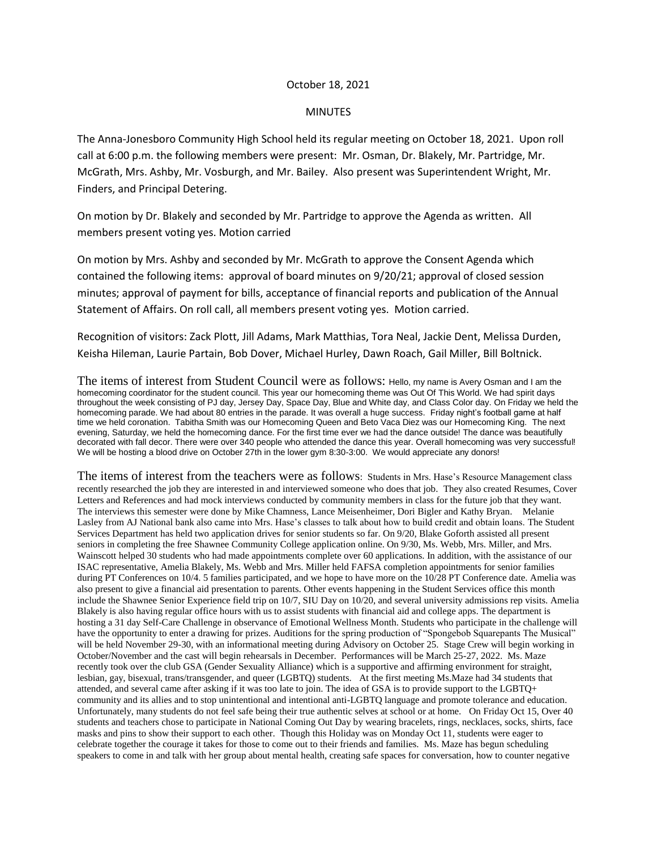## October 18, 2021

## MINUTES

The Anna-Jonesboro Community High School held its regular meeting on October 18, 2021. Upon roll call at 6:00 p.m. the following members were present: Mr. Osman, Dr. Blakely, Mr. Partridge, Mr. McGrath, Mrs. Ashby, Mr. Vosburgh, and Mr. Bailey. Also present was Superintendent Wright, Mr. Finders, and Principal Detering.

On motion by Dr. Blakely and seconded by Mr. Partridge to approve the Agenda as written. All members present voting yes. Motion carried

On motion by Mrs. Ashby and seconded by Mr. McGrath to approve the Consent Agenda which contained the following items: approval of board minutes on 9/20/21; approval of closed session minutes; approval of payment for bills, acceptance of financial reports and publication of the Annual Statement of Affairs. On roll call, all members present voting yes. Motion carried.

Recognition of visitors: Zack Plott, Jill Adams, Mark Matthias, Tora Neal, Jackie Dent, Melissa Durden, Keisha Hileman, Laurie Partain, Bob Dover, Michael Hurley, Dawn Roach, Gail Miller, Bill Boltnick.

The items of interest from Student Council were as follows: Hello, my name is Avery Osman and I am the homecoming coordinator for the student council. This year our homecoming theme was Out Of This World. We had spirit days throughout the week consisting of PJ day, Jersey Day, Space Day, Blue and White day, and Class Color day. On Friday we held the homecoming parade. We had about 80 entries in the parade. It was overall a huge success. Friday night's football game at half time we held coronation. Tabitha Smith was our Homecoming Queen and Beto Vaca Diez was our Homecoming King. The next evening, Saturday, we held the homecoming dance. For the first time ever we had the dance outside! The dance was beautifully decorated with fall decor. There were over 340 people who attended the dance this year. Overall homecoming was very successful! We will be hosting a blood drive on October 27th in the lower gym 8:30-3:00. We would appreciate any donors!

The items of interest from the teachers were as follows: Students in Mrs. Hase's Resource Management class recently researched the job they are interested in and interviewed someone who does that job. They also created Resumes, Cover Letters and References and had mock interviews conducted by community members in class for the future job that they want. The interviews this semester were done by Mike Chamness, Lance Meisenheimer, Dori Bigler and Kathy Bryan. Melanie Lasley from AJ National bank also came into Mrs. Hase's classes to talk about how to build credit and obtain loans. The Student Services Department has held two application drives for senior students so far. On 9/20, Blake Goforth assisted all present seniors in completing the free Shawnee Community College application online. On 9/30, Ms. Webb, Mrs. Miller, and Mrs. Wainscott helped 30 students who had made appointments complete over 60 applications. In addition, with the assistance of our ISAC representative, Amelia Blakely, Ms. Webb and Mrs. Miller held FAFSA completion appointments for senior families during PT Conferences on 10/4. 5 families participated, and we hope to have more on the 10/28 PT Conference date. Amelia was also present to give a financial aid presentation to parents. Other events happening in the Student Services office this month include the Shawnee Senior Experience field trip on 10/7, SIU Day on 10/20, and several university admissions rep visits. Amelia Blakely is also having regular office hours with us to assist students with financial aid and college apps. The department is hosting a 31 day Self-Care Challenge in observance of Emotional Wellness Month. Students who participate in the challenge will have the opportunity to enter a drawing for prizes. Auditions for the spring production of "Spongebob Squarepants The Musical" will be held November 29-30, with an informational meeting during Advisory on October 25. Stage Crew will begin working in October/November and the cast will begin rehearsals in December. Performances will be March 25-27, 2022. Ms. Maze recently took over the club GSA (Gender Sexuality Alliance) which is a supportive and affirming environment for straight, lesbian, gay, bisexual, trans/transgender, and queer (LGBTQ) students. At the first meeting Ms.Maze had 34 students that attended, and several came after asking if it was too late to join. The idea of GSA is to provide support to the LGBTQ+ community and its allies and to stop unintentional and intentional anti-LGBTQ language and promote tolerance and education. Unfortunately, many students do not feel safe being their true authentic selves at school or at home. On Friday Oct 15, Over 40 students and teachers chose to participate in National Coming Out Day by wearing bracelets, rings, necklaces, socks, shirts, face masks and pins to show their support to each other. Though this Holiday was on Monday Oct 11, students were eager to celebrate together the courage it takes for those to come out to their friends and families. Ms. Maze has begun scheduling speakers to come in and talk with her group about mental health, creating safe spaces for conversation, how to counter negative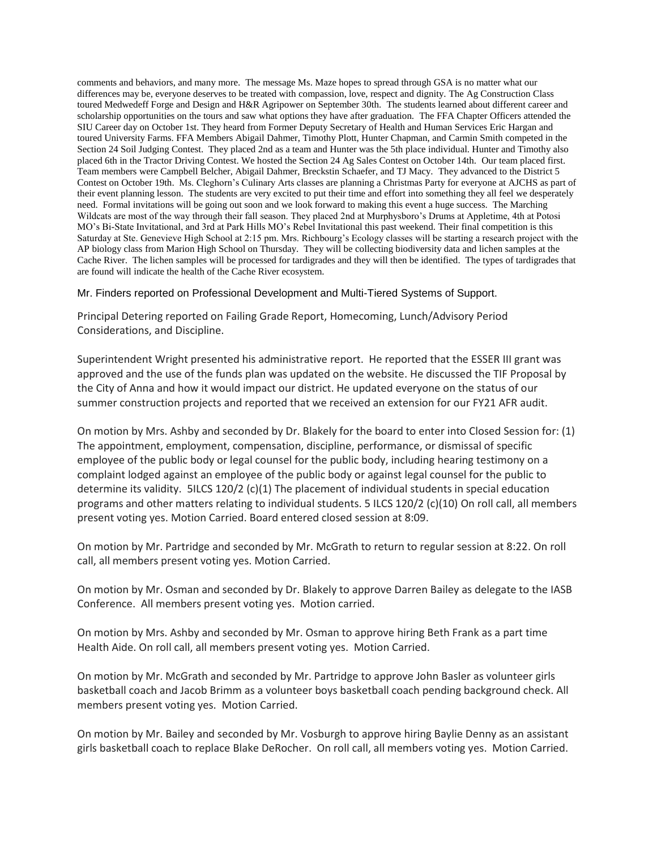comments and behaviors, and many more. The message Ms. Maze hopes to spread through GSA is no matter what our differences may be, everyone deserves to be treated with compassion, love, respect and dignity. The Ag Construction Class toured Medwedeff Forge and Design and H&R Agripower on September 30th. The students learned about different career and scholarship opportunities on the tours and saw what options they have after graduation. The FFA Chapter Officers attended the SIU Career day on October 1st. They heard from Former Deputy Secretary of Health and Human Services Eric Hargan and toured University Farms. FFA Members Abigail Dahmer, Timothy Plott, Hunter Chapman, and Carmin Smith competed in the Section 24 Soil Judging Contest. They placed 2nd as a team and Hunter was the 5th place individual. Hunter and Timothy also placed 6th in the Tractor Driving Contest. We hosted the Section 24 Ag Sales Contest on October 14th. Our team placed first. Team members were Campbell Belcher, Abigail Dahmer, Breckstin Schaefer, and TJ Macy. They advanced to the District 5 Contest on October 19th. Ms. Cleghorn's Culinary Arts classes are planning a Christmas Party for everyone at AJCHS as part of their event planning lesson. The students are very excited to put their time and effort into something they all feel we desperately need. Formal invitations will be going out soon and we look forward to making this event a huge success. The Marching Wildcats are most of the way through their fall season. They placed 2nd at Murphysboro's Drums at Appletime, 4th at Potosi MO's Bi-State Invitational, and 3rd at Park Hills MO's Rebel Invitational this past weekend. Their final competition is this Saturday at Ste. Genevieve High School at 2:15 pm. Mrs. Richbourg's Ecology classes will be starting a research project with the AP biology class from Marion High School on Thursday. They will be collecting biodiversity data and lichen samples at the Cache River. The lichen samples will be processed for tardigrades and they will then be identified. The types of tardigrades that are found will indicate the health of the Cache River ecosystem.

Mr. Finders reported on Professional Development and Multi-Tiered Systems of Support.

Principal Detering reported on Failing Grade Report, Homecoming, Lunch/Advisory Period Considerations, and Discipline.

Superintendent Wright presented his administrative report. He reported that the ESSER III grant was approved and the use of the funds plan was updated on the website. He discussed the TIF Proposal by the City of Anna and how it would impact our district. He updated everyone on the status of our summer construction projects and reported that we received an extension for our FY21 AFR audit.

On motion by Mrs. Ashby and seconded by Dr. Blakely for the board to enter into Closed Session for: (1) The appointment, employment, compensation, discipline, performance, or dismissal of specific employee of the public body or legal counsel for the public body, including hearing testimony on a complaint lodged against an employee of the public body or against legal counsel for the public to determine its validity. 5ILCS 120/2 (c)(1) The placement of individual students in special education programs and other matters relating to individual students. 5 ILCS 120/2 (c)(10) On roll call, all members present voting yes. Motion Carried. Board entered closed session at 8:09.

On motion by Mr. Partridge and seconded by Mr. McGrath to return to regular session at 8:22. On roll call, all members present voting yes. Motion Carried.

On motion by Mr. Osman and seconded by Dr. Blakely to approve Darren Bailey as delegate to the IASB Conference. All members present voting yes. Motion carried.

On motion by Mrs. Ashby and seconded by Mr. Osman to approve hiring Beth Frank as a part time Health Aide. On roll call, all members present voting yes. Motion Carried.

On motion by Mr. McGrath and seconded by Mr. Partridge to approve John Basler as volunteer girls basketball coach and Jacob Brimm as a volunteer boys basketball coach pending background check. All members present voting yes. Motion Carried.

On motion by Mr. Bailey and seconded by Mr. Vosburgh to approve hiring Baylie Denny as an assistant girls basketball coach to replace Blake DeRocher. On roll call, all members voting yes. Motion Carried.